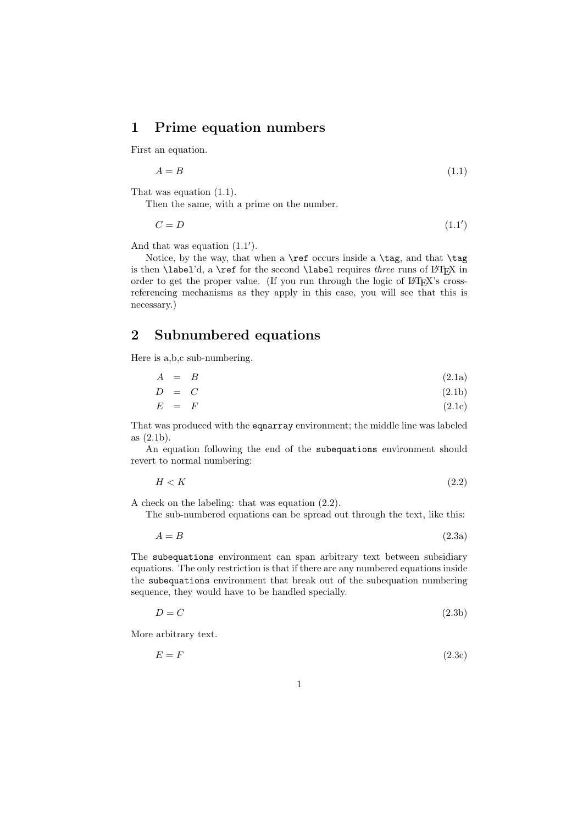## 1 Prime equation numbers

First an equation.

$$
A = B \tag{1.1}
$$

That was equation (1.1).

Then the same, with a prime on the number.

$$
C = D \tag{1.1'}
$$

And that was equation (1.1′ ).

Notice, by the way, that when a **\ref** occurs inside a **\tag**, and that  $\tag{eq: 1}$ is then  $\label{eq:12}$  is then  $\label{eq:13}$  a  $\ref{for the second \label{eq:14}$  requires three runs of  $\mathbb{F}_X$  in order to get the proper value. (If you run through the logic of LATEX's crossreferencing mechanisms as they apply in this case, you will see that this is necessary.)

## 2 Subnumbered equations

Here is a,b,c sub-numbering.

$$
A = B \tag{2.1a}
$$

$$
D = C \tag{2.1b}
$$

$$
E = F \tag{2.1c}
$$

That was produced with the eqnarray environment; the middle line was labeled as (2.1b).

An equation following the end of the subequations environment should revert to normal numbering:

$$
H < K \tag{2.2}
$$

A check on the labeling: that was equation (2.2).

The sub-numbered equations can be spread out through the text, like this:

$$
A = B \tag{2.3a}
$$

The subequations environment can span arbitrary text between subsidiary equations. The only restriction is that if there are any numbered equations inside the subequations environment that break out of the subequation numbering sequence, they would have to be handled specially.

$$
D = C \tag{2.3b}
$$

More arbitrary text.

 $E = F$  (2.3c)